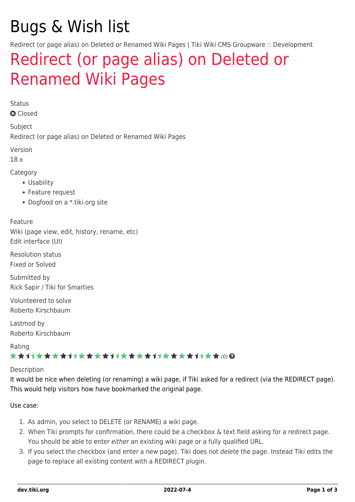# Bugs & Wish list

Redirect (or page alias) on Deleted or Renamed Wiki Pages | Tiki Wiki CMS Groupware :: Development

## [Redirect \(or page alias\) on Deleted or](https://dev.tiki.org/item1185-Redirect-or-page-alias-on-Deleted-or-Renamed-Wiki-Pages) [Renamed Wiki Pages](https://dev.tiki.org/item1185-Redirect-or-page-alias-on-Deleted-or-Renamed-Wiki-Pages)

Status

**a** Closed

Subject Redirect (or page alias) on Deleted or Renamed Wiki Pages

Version

18.x

Category

- Usability
- Feature request
- Dogfood on a \*.tiki.org site

Feature Wiki (page view, edit, history, rename, etc) Edit interface (UI)

Resolution status Fixed or Solved

Submitted by Rick Sapir / Tiki for Smarties

Volunteered to solve Roberto Kirschbaum

Lastmod by Roberto Kirschbaum

Rating

#### ★★オオ★★★★オオ★★★★★★★★★★★★★★★★★★ @ @

#### Description

It would be nice when deleting (or renaming) a wiki page, if Tiki asked for a redirect (via the REDIRECT page). This would help visitors how have bookmarked the original page.

Use case:

- 1. As admin, you select to DELETE (or RENAME) a wiki page.
- 2. When Tiki prompts for confirmation, there could be a checkbox & text field asking for a redirect page. You should be able to enter either an existing wiki page or a fully qualified URL.
- 3. If you select the checkbox (and enter a new page), Tiki does not delete the page. Instead Tiki edits the page to replace all existing content with a REDIRECT plugin.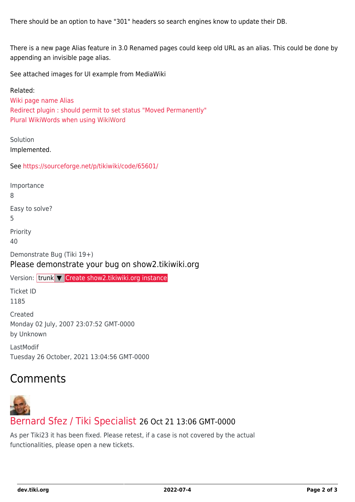There should be an option to have "301" headers so search engines know to update their DB.

There is a new page Alias feature in 3.0 Renamed pages could keep old URL as an alias. This could be done by appending an invisible page alias.

See attached images for UI example from MediaWiki

Related: [Wiki page name Alias](https://dev.tiki.org/wish1489) [Redirect plugin : should permit to set status "Moved Permanently"](https://dev.tiki.org/wish1610) [Plural WikiWords when using](https://dev.tiki.org/wish1292) [WikiWord](https://dev.tiki.org/tiki-editpage.php?page=WikiWord)

Solution Implemented.

See <https://sourceforge.net/p/tikiwiki/code/65601/>

Importance

8

Easy to solve?

5

Priority 40

Demonstrate Bug (Tiki 19+) Please demonstrate your bug on show2.tikiwiki.org

Version: trunk ▼ [Create show2.tikiwiki.org instance](#page--1-0)

Ticket ID 1185

Created Monday 02 July, 2007 23:07:52 GMT-0000 by Unknown

LastModif Tuesday 26 October, 2021 13:04:56 GMT-0000

### Comments



As per Tiki23 it has been fixed. Please retest, if a case is not covered by the actual functionalities, please open a new tickets.